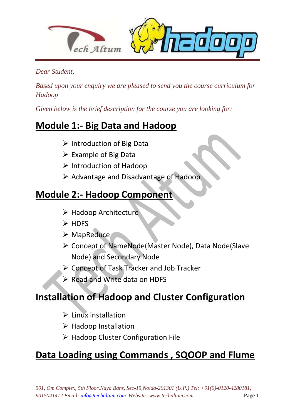

*Dear Student,*

*Based upon your enquiry we are pleased to send you the course curriculum for Hadoop*

*Given below is the brief description for the course you are looking for:*

## **Module 1:- Big Data and Hadoop**

- $\triangleright$  Introduction of Big Data
- Example of Big Data
- $\triangleright$  Introduction of Hadoop
- $\triangleright$  Advantage and Disadvantage of Hadoop

### **Module 2:- Hadoop Component**

- > Hadoop Architecture
- $\triangleright$  HDFS
- MapReduce
- Concept of NameNode(Master Node), Data Node(Slave Node) and Secondary Node
- Concept of Task Tracker and Job Tracker
- Read and Write data on HDFS

## **Installation of Hadoop and Cluster Configuration**

- $\triangleright$  Linux installation
- $\triangleright$  Hadoop Installation
- ▶ Hadoop Cluster Configuration File

## **Data Loading using Commands , SQOOP and Flume**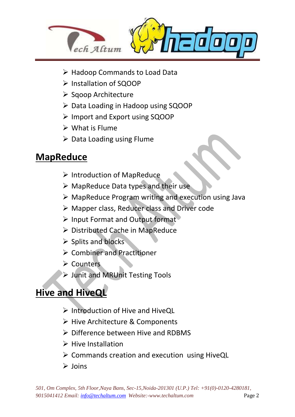

- ▶ Hadoop Commands to Load Data
- Installation of SQOOP
- $\triangleright$  Sqoop Architecture
- ▶ Data Loading in Hadoop using SQOOP
- Import and Export using SQOOP
- $\triangleright$  What is Flume
- $\triangleright$  Data Loading using Flume

### **MapReduce**

 $\overline{a}$ 

- $\triangleright$  Introduction of MapReduce
- $\triangleright$  MapReduce Data types and their use
- $\triangleright$  MapReduce Program writing and execution using Java
- Mapper class, Reducer class and Driver code
- $\triangleright$  Input Format and Output format
- Distributed Cache in MapReduce
- $\triangleright$  Splits and blocks
- ▶ Combiner and Practitioner
- $\triangleright$  Counters
- Junit and MRUnit Testing Tools

## **Hive and HiveQL**

- $\triangleright$  Introduction of Hive and HiveOL
- ▶ Hive Architecture & Components
- $\triangleright$  Difference between Hive and RDBMS
- $\triangleright$  Hive Installation
- $\triangleright$  Commands creation and execution using HiveQL
- $\triangleright$  Joins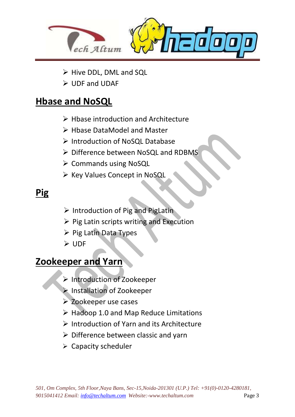

- > Hive DDL, DML and SQL
- UDF and UDAF

#### **Hbase and NoSQL**

- $\triangleright$  Hbase introduction and Architecture
- Hbase DataModel and Master
- ▶ Introduction of NoSQL Database
- > Difference between NoSQL and RDBMS
- $\triangleright$  Commands using NoSQL
- ≻ Key Values Concept in NoSQL

# **Pig**

 $\overline{a}$ 

- $\triangleright$  Introduction of Pig and PigLatin
- $\triangleright$  Pig Latin scripts writing and Execution
- $\triangleright$  Pig Latin Data Types
- **≻** UDF

#### **Zookeeper and Yarn**

- Introduction of Zookeeper
- Installation of Zookeeper
- Zookeeper use cases
- $\triangleright$  Hadoop 1.0 and Map Reduce Limitations
- $\triangleright$  Introduction of Yarn and its Architecture
- $\triangleright$  Difference between classic and yarn
- $\triangleright$  Capacity scheduler